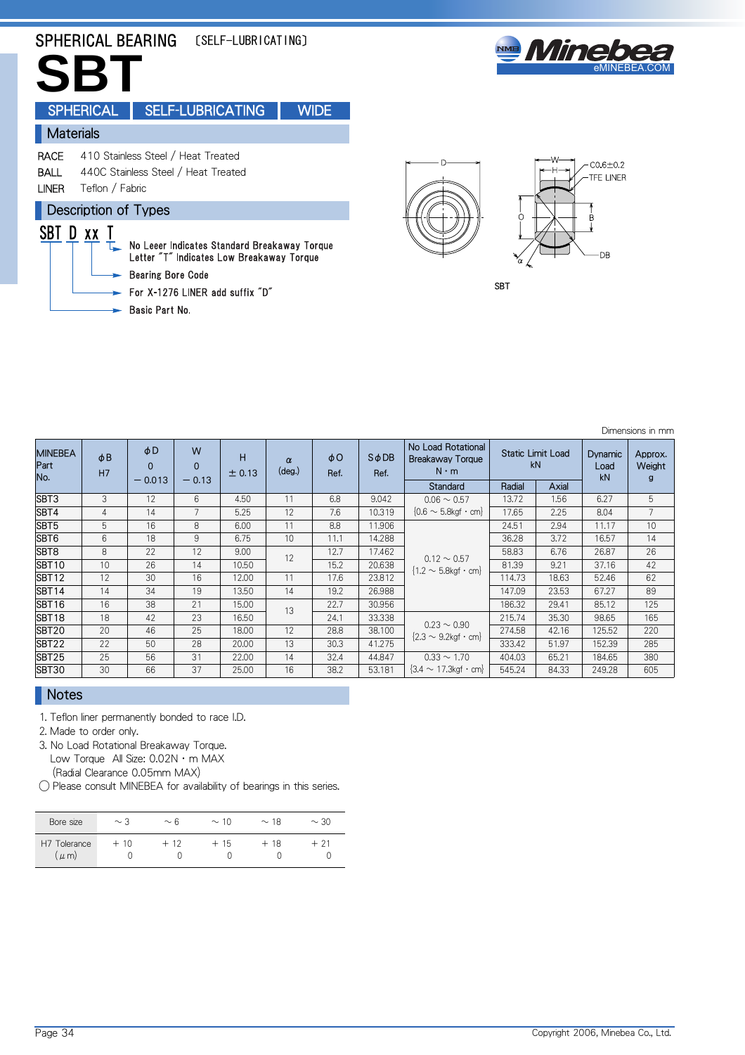# SPHERICAL BEARING [SELF-LUBRICATING]



**SBT** SPHERICAL | SELF-LUBRICATING | WIDE **Materials** RACE 410 Stainless Steel / Heat Treated BALL 440C Stainless Steel / Heat Treated LINER Teflon / Fabric **Description of Types** SBT D xx T No Leeer Indicates Standard Breakaway Torque Letter "T" Indicates Low Breakaway Torque **Bearing Bore Code** 

- For X-1276 LINER add suffix "D"
- Basic Part No.



**SBT** 

Dimensions in mm

| <b>MINEBEA</b><br>Part<br>No. | $\phi$ B<br>H7 | $\phi$ D<br>$\Omega$<br>$-0.013$ | W<br>$\Omega$<br>$-0.13$ | н<br>± 0.13 | $\alpha$<br>$(\text{deg.})$ | $\phi$ O<br>Ref. | $S$ $\phi$ DB<br>Ref. | No Load Rotational<br><b>Static Limit Load</b><br>Breakaway Torque<br>kN<br>$N \cdot m$ |        |       | Dynamic<br>Load<br>kN | Approx.<br>Weight<br>g |
|-------------------------------|----------------|----------------------------------|--------------------------|-------------|-----------------------------|------------------|-----------------------|-----------------------------------------------------------------------------------------|--------|-------|-----------------------|------------------------|
|                               |                |                                  |                          |             |                             |                  |                       | <b>Standard</b>                                                                         | Radial | Axial |                       |                        |
| SBT3                          | 3              | 12                               | 6                        | 4.50        | 11                          | 6.8              | 9.042                 | $0.06 \sim 0.57$                                                                        | 13.72  | 1.56  | 6.27                  | 5                      |
| SBT4                          | 4              | 14                               |                          | 5.25        | 12                          | 7.6              | 10.319                | ${0.6 \sim 5.8}$ kgf · cm}                                                              | 17.65  | 2.25  | 8.04                  |                        |
| SBT <sub>5</sub>              | 5              | 16                               | 8                        | 6.00        | 11                          | 8.8              | 11.906                |                                                                                         | 24.51  | 2.94  | 11.17                 | 10                     |
| SBT6                          | 6              | 18                               | 9                        | 6.75        | 10                          | 11.1             | 14.288                |                                                                                         | 36.28  | 3.72  | 16.57                 | 14                     |
| SBT8                          | 8              | 22                               | 12                       | 9.00        | 12                          | 12.7             | 17.462                | $0.12 \sim 0.57$                                                                        | 58.83  | 6.76  | 26.87                 | 26                     |
| <b>SBT10</b>                  | 10             | 26                               | 14                       | 10.50       |                             | 15.2             | 20.638                | $\{1.2 \sim 5.8$ kgf · cm $\}$                                                          | 81.39  | 9.21  | 37.16                 | 42                     |
| <b>SBT12</b>                  | 12             | 30                               | 16                       | 12.00       | 11                          | 17.6             | 23.812                |                                                                                         | 114.73 | 18.63 | 52.46                 | 62                     |
| SBT <sub>14</sub>             | 14             | 34                               | 19                       | 13.50       | 14                          | 19.2             | 26.988                |                                                                                         | 147.09 | 23.53 | 67.27                 | 89                     |
| <b>SBT16</b>                  | 16             | 38                               | 21                       | 15.00       | 13                          | 22.7             | 30.956                |                                                                                         | 186.32 | 29.41 | 85.12                 | 125                    |
| <b>SBT18</b>                  | 18             | 42                               | 23                       | 16.50       |                             | 24.1             | 33.338                |                                                                                         | 215.74 | 35.30 | 98.65                 | 165                    |
| <b>SBT20</b>                  | 20             | 46                               | 25                       | 18.00       | 12                          | 28.8             | 38.100                | $0.23 \sim 0.90$<br>${2.3 \sim 9.2}$ kgf · cm}                                          | 274.58 | 42.16 | 125.52                | 220                    |
| SBT22                         | 22             | 50                               | 28                       | 20.00       | 13                          | 30.3             | 41.275                |                                                                                         | 333.42 | 51.97 | 152.39                | 285                    |
| SBT25                         | 25             | 56                               | 31                       | 22.00       | 14                          | 32.4             | 44.847                | $0.33 \sim 1.70$                                                                        | 404.03 | 65.21 | 184.65                | 380                    |
| <b>SBT30</b>                  | 30             | 66                               | 37                       | 25.00       | 16                          | 38.2             | 53.181                | $\{3.4 \sim 17.3 \text{kgf} \cdot \text{cm}\}$                                          | 545.24 | 84.33 | 249.28                | 605                    |

## Notes

1. Teflon liner permanently bonded to race I.D.

- 2. Made to order only.
- 3. No Load Rotational Breakaway Torque. Low Torque All Size: 0.02N · m MAX (Radial Clearance 0.05mm MAX)
- ◯ Please consult MINEBEA for availability of bearings in this series.

| Bore size                | $\sim$ 3 | $\sim 6$ | $\sim$ 10 | $\sim$ 18 | $\sim$ 30 |
|--------------------------|----------|----------|-----------|-----------|-----------|
| H7 Tolerance<br>$\mu$ m) | $+10$    | $+12$    | $+15$     | $+18$     | + 21      |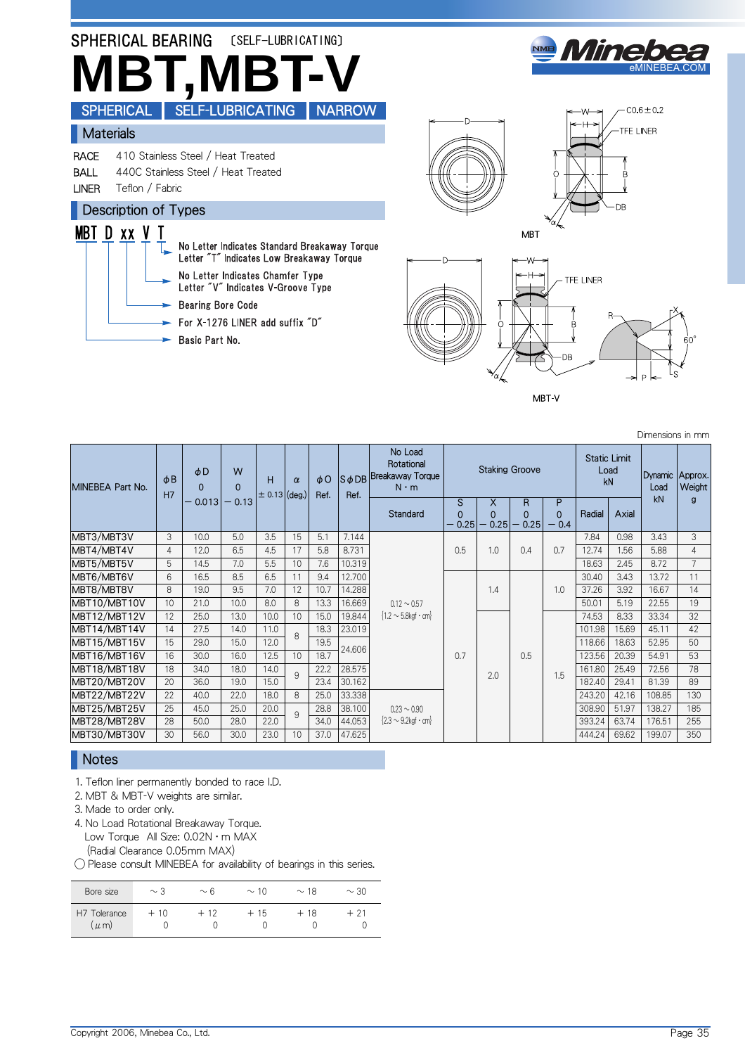

MBT V

Dimensions in mm

| MINEBEA Part No. | $\phi$ <sub>B</sub><br>H7 | φD<br>$\Omega$ | W<br>$\Omega$ | н<br>$\pm 0.13   (deg.)$ | $\alpha$     | $\phi$ O<br>Ref. | Ref.   | No Load<br>Rotational<br>S ¢ DB Breakaway Torque<br>$N \cdot m$ |                       |                       | <b>Staking Groove</b> |                         | <b>Static Limit</b><br>Load<br>kN |       | Dynamic<br>Load | Approx.<br>Weight |
|------------------|---------------------------|----------------|---------------|--------------------------|--------------|------------------|--------|-----------------------------------------------------------------|-----------------------|-----------------------|-----------------------|-------------------------|-----------------------------------|-------|-----------------|-------------------|
|                  |                           | $-0.013$       | $-0.13$       |                          |              |                  |        | Standard                                                        | S<br>$\Omega$<br>0.25 | X<br>$\Omega$<br>0.25 | R<br>$\Omega$<br>0.25 | P<br>$\Omega$<br>$-0.4$ | Radial                            | Axial | kN              | g                 |
| MBT3/MBT3V       | 3                         | 10.0           | 5.0           | 3.5                      | 15           | 5.1              | 7.144  |                                                                 |                       |                       |                       |                         | 7.84                              | 0.98  | 3.43            | 3                 |
| MBT4/MBT4V       | $\overline{4}$            | 12.0           | 6.5           | 4.5                      | 17           | 5.8              | 8.731  |                                                                 | 0.5                   | 1.0                   | 0.4                   | 0.7                     | 12.74                             | 1.56  | 5.88            | $\overline{4}$    |
| MBT5/MBT5V       | 5                         | 14.5           | 7.0           | 5.5                      | 10           | 7.6              | 10.319 |                                                                 |                       |                       |                       |                         | 18.63                             | 2.45  | 8.72            | $\overline{7}$    |
| MBT6/MBT6V       | 6                         | 16.5           | 8.5           | 6.5                      | 11           | 9.4              | 12.700 |                                                                 |                       |                       |                       |                         | 30.40                             | 3.43  | 13.72           | 11                |
| MBT8/MBT8V       | 8                         | 19.0           | 9.5           | 7.0                      | 12           | 10.7             | 14.288 |                                                                 |                       | 1.4                   |                       | 1.0                     | 37.26                             | 3.92  | 16.67           | 14                |
| MBT10/MBT10V     | 10                        | 21.0           | 10.0          | 8.0                      | 8            | 13.3             | 16.669 | $0.12 \sim 0.57$                                                |                       |                       |                       |                         | 50.01                             | 5.19  | 22.55           | 19                |
| MBT12/MBT12V     | 12                        | 25.0           | 13.0          | 10.0                     | 10           | 15.0             | 19.844 | $\{1.2 \sim 5.8$ kgf · cm                                       |                       |                       |                       |                         | 74.53                             | 8.33  | 33.34           | 32                |
| MBT14/MBT14V     | 14                        | 27.5           | 14.0          | 11.0                     | $\mathsf{R}$ | 18.3             | 23.019 |                                                                 |                       |                       |                       |                         | 101.98                            | 15.69 | 45.11           | 42                |
| MBT15/MBT15V     | 15                        | 29.0           | 15.0          | 12.0                     |              | 19.5             | 24.606 |                                                                 |                       |                       |                       |                         | 118.66                            | 18.63 | 52.95           | 50                |
| MBT16/MBT16V     | 16                        | 30.0           | 16.0          | 12.5                     | 10           | 18.7             |        |                                                                 | 0.7                   |                       | 0.5                   |                         | 123.56                            | 20.39 | 54.91           | 53                |
| MBT18/MBT18V     | 18                        | 34.0           | 18.0          | 14.0                     | 9            | 22.2             | 28.575 |                                                                 |                       | 2.0                   |                       | 1.5                     | 161.80                            | 25.49 | 72.56           | 78                |
| MBT20/MBT20V     | 20                        | 36.0           | 19.0          | 15.0                     |              | 23.4             | 30.162 |                                                                 |                       |                       |                       |                         | 182.40                            | 29.41 | 81.39           | 89                |
| MBT22/MBT22V     | 22                        | 40.0           | 22.0          | 18.0                     | 8            | 25.0             | 33.338 |                                                                 |                       |                       |                       |                         | 243.20                            | 42.16 | 108.85          | 130               |
| MBT25/MBT25V     | 25                        | 45.0           | 25.0          | 20.0                     | 9            | 28.8             | 38.100 | $0.23 \sim 0.90$                                                |                       |                       |                       |                         | 308.90                            | 51.97 | 138.27          | 185               |
| MBT28/MBT28V     | 28                        | 50.0           | 28.0          | 22.0                     |              | 34.0             | 44.053 | $\{2.3 \sim 9.2$ kgf · cm                                       |                       |                       |                       |                         | 393.24                            | 63.74 | 176.51          | 255               |
| MBT30/MBT30V     | 30                        | 56.0           | 30.0          | 23.0                     | 10           | 37.0             | 47.625 |                                                                 |                       |                       |                       |                         | 444.24                            | 69.62 | 199.07          | 350               |

### **Notes**

1. Teflon liner permanently bonded to race I.D.

2. MBT & MBT-V weights are similar.

3. Made to order only.

4. No Load Rotational Breakaway Torque.

Low Torque All Size: 0.02N · m MAX

(Radial Clearance 0.05mm MAX) ◯ Please consult MINEBEA for availability of bearings in this series.

| Bore size                | $\sim$ 3 | $\sim 6$ | $\sim$ 10 | $\sim$ 18 | $\sim$ 30 |
|--------------------------|----------|----------|-----------|-----------|-----------|
| H7 Tolerance<br>$\mu$ m) | $+10$    | $+12$    | $+15$     | $+18$     | $+21$     |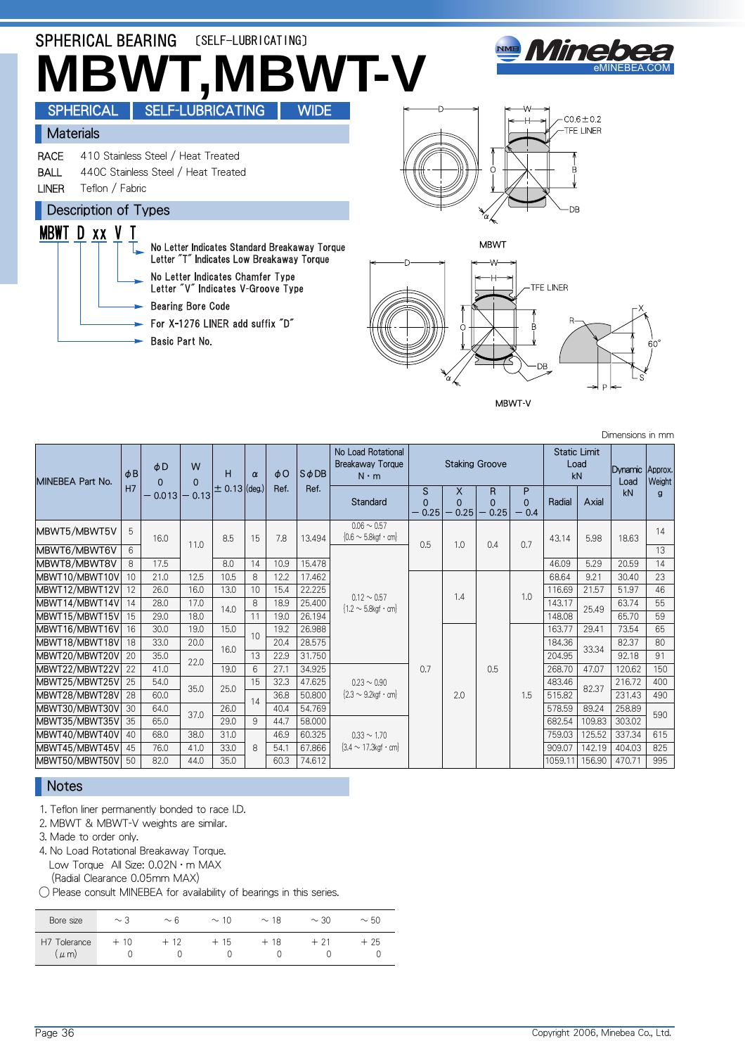

MBWT-V

MINEBEA Part No.  $|\phi$  B H7 φD 0 0.013 W 0 - 0.13 H  $\pm$  0.13 (deg.) α φO Ref. SφDB Ref. No Load Rotational Breakaway Torque N・m Staking Groove Static Limit Load<br>kN Dynamic Load kN Approx. **Weight** g **Standard** S 0  $0.25$ X 0  $0.25$ R 0  $0.25$ P 0  $\overline{0}$   $\overline{0}$ Radial Axial  $\begin{array}{|c|c|c|c|c|c|}\n\hline\n\text{MBWT5/MBWTSV} & 5 & 16.0 & 11.0 & 8.5 & 15 & 7.8 & 13.494 \\
\hline\n\text{MBWT6/MBWTSV} & 6 & 11.0 & 8.5 & 15 & 7.8 & 13.494\n\end{array}$  $0.06 \sim 0.57$  $\frac{0.6 \times 0.5}{0.6 \times 5.8 \times 10^{-6} \text{ cm}}$  0.5 1.0 0.4 0.7 43.14 5.98 18.63 14 MBWT6/MBWT6V  $0.12 \sim 0.57$  ${1.2 \sim 5.8}$ kgf · cm} 13 MBWT8/MBWT8V 8 17.5 8.0 14 10.9 15.478 46.09 5.29 20.59 14 MBWT10/MBWT10V 10 21.0 12.5 10.5 8 12.2 17.462 0.7 1.4 0.5 1.0 68.64 9.21 30.40 23 46 116.69 21.57 | 12 | 26.0 | 16.0 | 13.0 | 10 | 15.4 | 22.225 | محمد من المحافظ المحافظ المحافظ المحافظ المحافظ ال MBWT14/MBWT14V 14 28.0 17.0 14.0 8 18.9 25.400 12.3 cm 1 14.0 14.3 17.1 25.40 63.74 55 MBWT15/MBWT15V 15 29.0 18.0 11 19.0 26.194 148.08 65.70 59 MBWT16/MBWT16V 16 30.0 19.0 15.0 10 19.2 26.988<br>MBWT18/MBWT18V 18 33.0 20.0 10.0 20.4 28.575 2.0 1.5 163.77 29.41 73.54 65 MBWT18/MBWT18V <sup>18</sup> 33.0 20.0 16.0 20.4 28.575 184.36 33.34 82.37 <sup>80</sup> MBWT20/MBWT20V 20 35.0 22.0 13 22.9 31.750 204.95 204.95 204.95 204.95 204.95 91 MBWT22/MBWT22V 22 41.0 22.0 19.0 6 27.1 34.925  $0.23 \sim 0.90$  ${2.3 \sim 9.2}$ kaf · cm 268.70 47.07 120.62 150 MBWT25/MBWT25V 25 54.0 35.0 25.0 15 32.3 47.625 0.23 ~ 0.90 1 33.4 200 32.37 216.72 400<br>A RIVERS ALBUTERN 2010 2020 12:00 200 35.0 10:00 200 300 300 300 200 200 32.37 200 32.37 200 32.37 MBWT28/MBWT28V 28 60.0 111 11 36.8 50.800 2.3 2.0 2.0 1.5 515.82 231.43 490<br>DELITERATURE DEL SUR LOCALITY 14 1.6.1 5.1 36.8 1.1 2.24 1.1 1.1 1.1 1.5 515.82 2001 1.5 515.82 231.43 490 MBWT30/MBWT30V 30 64.0 37.0 26.0 1 40.4 54.769 590 1 578.59 89.24 258.89 590 1 578.59 89.24 258.89 590 1 578.59 1 590<br>MBWT35/MBWT35V 35 65.0 37.0 29.0 9 44.7 58.000  $0.33 \sim 1.70$  ${3.4 \sim 17.3}$ kgf · cm} 682.54 109.83 303.02 MBWT40/MBWT40V 40 68.0 38.0 31.0 8 46.9 | 60.325 | 0.33 ~ 1.70 | | | | | | 759.03 | 125.52 | 337.34 | 615 MBWT45/MBWT45V 45 76.0 41.0 33.0 8 54.1 67.866 34~17.3kgf·cm | | | | | 909.07 142.19 404.03 825 MBWT50/MBWT50V 50 82.0 44.0 35.0 60.3 74.612 1059.11 156.90 470.71 995

### Notes

1. Teflon liner permanently bonded to race I.D.

2. MBWT & MBWT-V weights are similar.

3. Made to order only.

4. No Load Rotational Breakaway Torque. Low Torque All Size: 0.02N · m MAX (Radial Clearance 0.05mm MAX)

◯ Please consult MINEBEA for availability of bearings in this series.

| Bore size                   | $\sim$ 3 | $\sim 6$ | $\sim$ 10 | $\sim$ 18 | $\sim$ 30 | $~\sim$ 50 |
|-----------------------------|----------|----------|-----------|-----------|-----------|------------|
| Н7<br>Tolerance<br>$\mu$ m) | 10       | 12       | 15        | 18        |           | 25         |

Dimensions in mm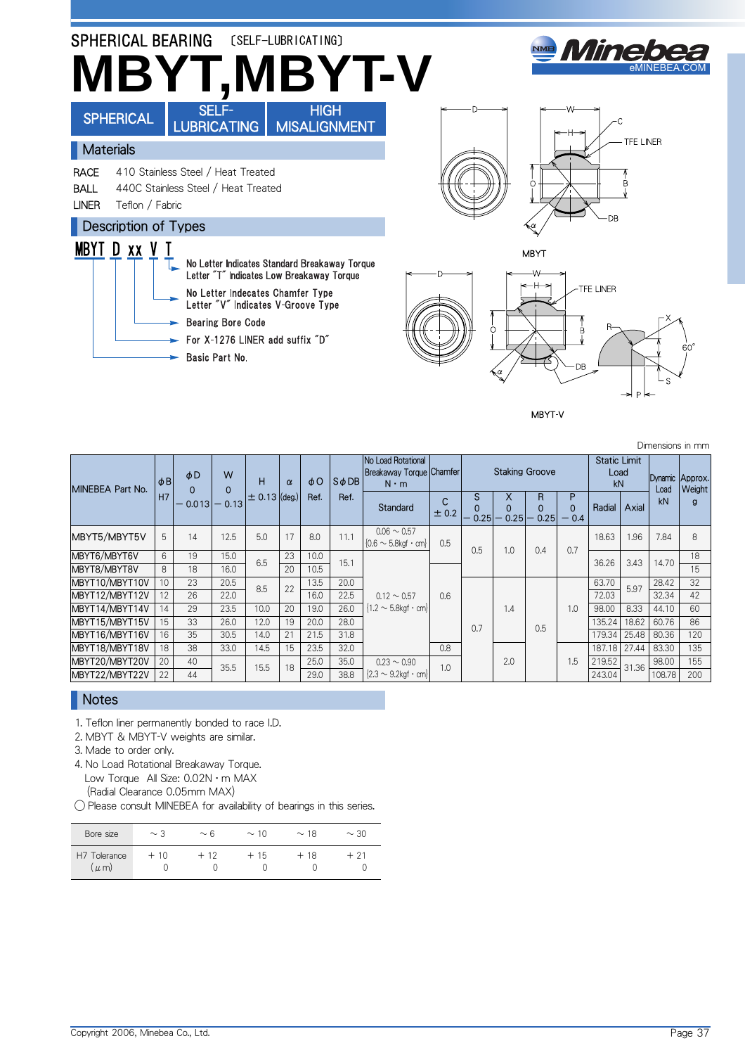

MBYT-V

Dimensions in mm

| MINEBEA Part No. | $\phi$ <sub>B</sub> | $\phi$ D<br>$\Omega$ | W                       | н                 | $\alpha$ | $\phi$ O<br>Ref. | $S$ $\phi$ DB | No Load Rotational<br>Breakaway Torque Chamfer<br>$N \cdot m$ |            |                       | <b>Staking Groove</b> |                |                         | <b>Static Limit</b><br>Load<br>kN |       | Dynamic Approx.<br>Load | Weight |
|------------------|---------------------|----------------------|-------------------------|-------------------|----------|------------------|---------------|---------------------------------------------------------------|------------|-----------------------|-----------------------|----------------|-------------------------|-----------------------------------|-------|-------------------------|--------|
|                  | H7                  | 0.013                | $\mathbf{0}$<br>$-0.13$ | $\pm$ 0.13 (deg.) |          |                  | Ref.          | Standard                                                      | C<br>± 0.2 | S<br>$\Omega$<br>0.25 | X<br>0.25             | R<br>0<br>0.25 | P<br>$\Omega$<br>$-0.4$ | Radial                            | Axial | kN                      | g      |
| MBYT5/MBYT5V     | 5                   | 14                   | 12.5                    | 5.0               | 17       | 8.0              | 11.1          | $0.06 \sim 0.57$<br>${0.6 \sim 5.8}$ kgf · cm                 | 0.5        | 0.5                   | 1.0                   | 0.4            | 0.7                     | 18.63                             | 1.96  | 7.84                    | 8      |
| MBYT6/MBYT6V     | 6                   | 19                   | 15.0                    | 6.5               | 23       | 10.0             | 15.1          |                                                               |            |                       |                       |                |                         | 36.26                             | 3.43  | 14.70                   | 18     |
| MBYT8/MBYT8V     | 8                   | 18                   | 16.0                    |                   | 20       | 10.5             |               |                                                               |            |                       |                       |                |                         |                                   |       |                         | 15     |
| MBYT10/MBYT10V   | 10                  | 23                   | 20.5                    | 8.5               | 22       | 13.5             | 20.0          |                                                               |            |                       |                       |                |                         | 63.70                             | 5.97  | 28.42                   | 32     |
| MBYT12/MBYT12V   | 12                  | 26                   | 22.0                    |                   |          | 16.0             | 22.5          | $0.12 \sim 0.57$                                              | 0.6        |                       |                       |                |                         | 72.03                             |       | 32.34                   | 42     |
| MBYT14/MBYT14V   | 14                  | 29                   | 23.5                    | 10.0              | 20       | 19.0             | 26.0          | $\{1.2 \sim 5.8$ kgf · cm                                     |            |                       | 1.4                   |                | 1.0                     | 98.00                             | 8.33  | 44.10                   | 60     |
| MBYT15/MBYT15V   | 15                  | 33                   | 26.0                    | 12.0              | 19       | 20.0             | 28.0          |                                                               |            | 0.7                   |                       | 0.5            |                         | 135.24                            | 18.62 | 60.76                   | 86     |
| MBYT16/MBYT16V   | 16                  | 35                   | 30.5                    | 14.0              | 21       | 21.5             | 31.8          |                                                               |            |                       |                       |                |                         | 179.34                            | 25.48 | 80.36                   | 120    |
| MBYT18/MBYT18V   | 18                  | 38                   | 33.0                    | 14.5              | 15       | 23.5             | 32.0          |                                                               | 0.8        |                       |                       |                |                         | 187.18                            | 27.44 | 83.30                   | 135    |
| MBYT20/MBYT20V   | 20                  | 40                   | 35.5                    | 15.5              | 18       | 25.0             | 35.0          | $0.23 \sim 0.90$                                              | 1.0        |                       | 2.0                   |                | 1.5                     | 219.52                            | 31.36 | 98.00                   | 155    |
| MBYT22/MBYT22V   | 22                  | 44                   |                         |                   |          | 29.0             | 38.8          | $\{2.3 \sim 9.2$ kgf · cm                                     |            |                       |                       |                |                         | 243.04                            |       | 108.78                  | 200    |

## **Notes**

1. Teflon liner permanently bonded to race I.D.

2. MBYT & MBYT-V weights are similar.

3. Made to order only.

4. No Load Rotational Breakaway Torque. Low Torque All Size: 0.02N · m MAX (Radial Clearance 0.05mm MAX)

◯ Please consult MINEBEA for availability of bearings in this series.

| Bore size                     | $\sim$ 3 | $\sim$ 6 | $\sim$ 10 | $\sim$ 18 | $\sim$ 30 |
|-------------------------------|----------|----------|-----------|-----------|-----------|
| H7 1<br>Tolerance<br>$\mu$ m) | $+10$    | $+12$    | $+15$     | $+18$     | $+21$     |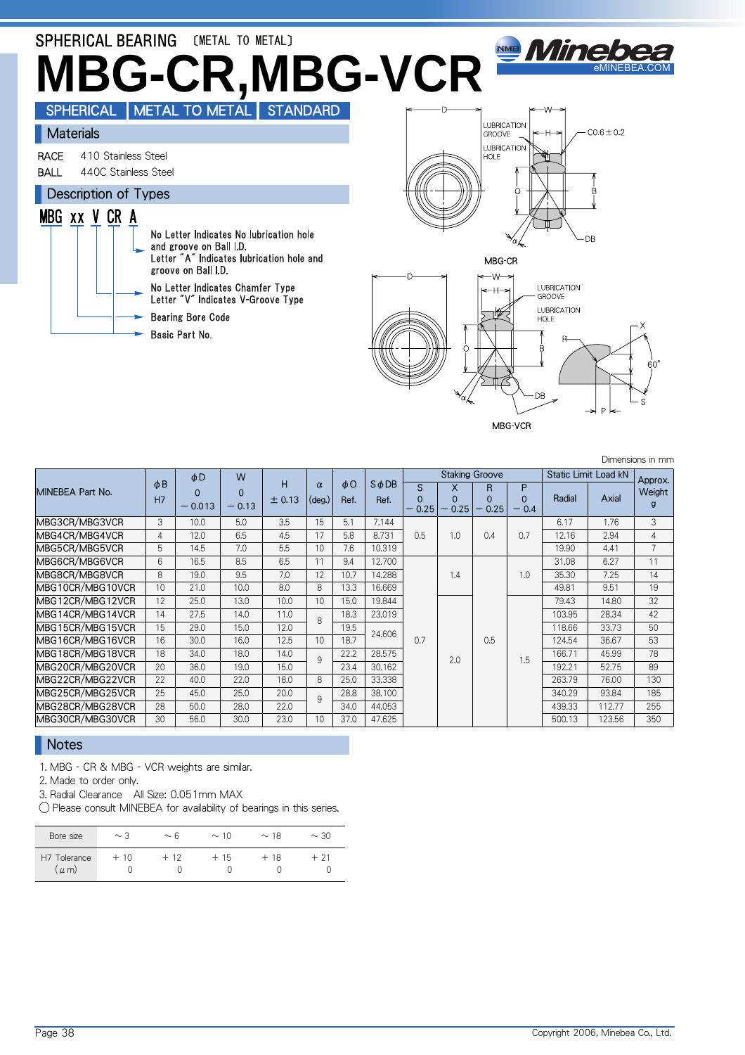

#### MBG-VCR

Dimensions in mm

|                  |                       | φD                   | W                   |             |                             |                  |                       |                           |                       | <b>Staking Groove</b>     |                         | <b>Static Limit Load kN</b> |        | Approx.        |
|------------------|-----------------------|----------------------|---------------------|-------------|-----------------------------|------------------|-----------------------|---------------------------|-----------------------|---------------------------|-------------------------|-----------------------------|--------|----------------|
| MINEBEA Part No. | $\phi$ B<br><b>H7</b> | $\Omega$<br>$-0.013$ | $\Omega$<br>$-0.13$ | Н<br>± 0.13 | $\alpha$<br>$(\text{deg.})$ | $\phi$ O<br>Ref. | $S$ $\phi$ DB<br>Ref. | S.<br>$\Omega$<br>$-0.25$ | x<br>$\Omega$<br>0.25 | R.<br>$\Omega$<br>$-0.25$ | P<br>$\Omega$<br>$-0.4$ | Radial                      | Axial  | Weight<br>g    |
| MBG3CR/MBG3VCR   | 3                     | 10.0                 | 5.0                 | 3.5         | 15                          | 5.1              | 7.144                 |                           |                       |                           |                         | 6.17                        | 1.76   | 3              |
| MBG4CR/MBG4VCR   | 4                     | 12.0                 | 6.5                 | 4.5         | 17                          | 5.8              | 8.731                 | 0.5                       | 1.0                   | 0.4                       | 0.7                     | 12.16                       | 2.94   | 4              |
| MBG5CR/MBG5VCR   | 5                     | 14.5                 | 7.0                 | 5.5         | 10                          | 7.6              | 10.319                |                           |                       |                           |                         | 19.90                       | 4.41   | $\overline{7}$ |
| MBG6CR/MBG6VCR   | 6                     | 16.5                 | 8.5                 | 6.5         | 11                          | 9.4              | 12.700                |                           |                       |                           |                         | 31.08                       | 6.27   | 11             |
| MBG8CR/MBG8VCR   | 8                     | 19.0                 | 9.5                 | 7.0         | 12                          | 10.7             | 14.288                |                           | 1.4                   |                           | 1.0                     | 35.30                       | 7.25   | 14             |
| MBG10CR/MBG10VCR | 10                    | 21.0                 | 10.0                | 8.0         | 8                           | 13.3             | 16.669                |                           |                       |                           |                         | 49.81                       | 9.51   | 19             |
| MBG12CR/MBG12VCR | 12                    | 25.0                 | 13.0                | 10.0        | 10                          | 15.0             | 19.844                |                           |                       |                           |                         | 79.43                       | 14.80  | 32             |
| MBG14CR/MBG14VCR | 14                    | 27.5                 | 14.0                | 11.0        | $\mathsf{R}$                | 18.3             | 23.019                |                           |                       |                           |                         | 103.95                      | 28.34  | 42             |
| MBG15CR/MBG15VCR | 15                    | 29.0                 | 15.0                | 12.0        |                             | 19.5             | 24.606                |                           |                       |                           |                         | 118.66                      | 33.73  | 50             |
| MBG16CR/MBG16VCR | 16                    | 30.0                 | 16.0                | 12.5        | 10                          | 18.7             |                       | 0.7                       |                       | 0.5                       |                         | 124.54                      | 36.67  | 53             |
| MBG18CR/MBG18VCR | 18                    | 34.0                 | 18.0                | 14.0        | 9                           | 22.2             | 28.575                |                           | 2.0                   |                           | 1.5                     | 166.71                      | 45.99  | 78             |
| MBG20CR/MBG20VCR | 20                    | 36.0                 | 19.0                | 15.0        |                             | 23.4             | 30.162                |                           |                       |                           |                         | 192.21                      | 52.75  | 89             |
| MBG22CR/MBG22VCR | 22                    | 40.0                 | 22.0                | 18.0        | 8                           | 25.0             | 33.338                |                           |                       |                           |                         | 263.79                      | 76.00  | 130            |
| MBG25CR/MBG25VCR | 25                    | 45.0                 | 25.0                | 20.0        | 9                           | 28.8             | 38.100                |                           |                       |                           |                         | 340.29                      | 93.84  | 185            |
| MBG28CR/MBG28VCR | 28                    | 50.0                 | 28.0                | 22.0        |                             | 34.0             | 44.053                |                           |                       |                           |                         | 439.33                      | 112.77 | 255            |
| MBG30CR/MBG30VCR | 30                    | 56.0                 | 30.0                | 23.0        | 10                          | 37.0             | 47.625                |                           |                       |                           |                         | 500.13                      | 123.56 | 350            |

### **Notes**

1. MBG - CR & MBG - VCR weights are similar.

2. Made to order only.

3. Radial Clearance All Size: 0.051mm MAX

◯ Please consult MINEBEA for availability of bearings in this series.

| Bore size                | $\sim$ 3 | $\sim 6$ | $\sim$ 10 | $\sim$ 18 | $\sim$ 30 |
|--------------------------|----------|----------|-----------|-----------|-----------|
| H7 Tolerance<br>$\mu$ m) | -10      | - 12     | 15        | + 18      | 21 -      |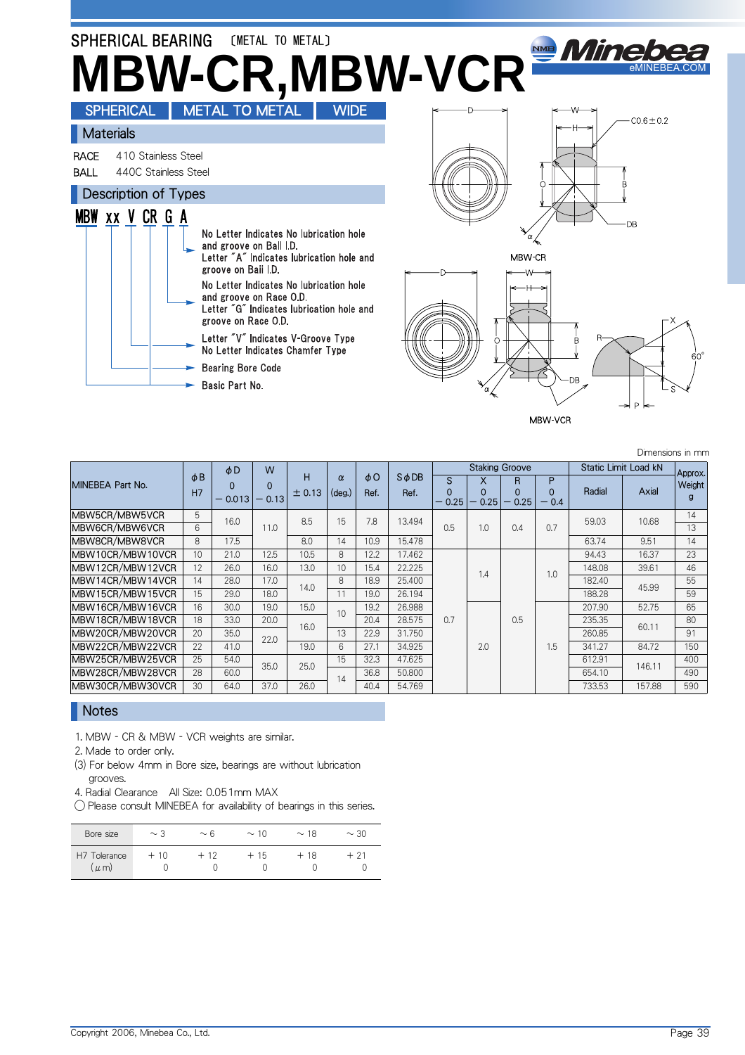

MBW-VCR

Dimensions in mm

MINEBEA Part No.  $\phi$  B H7 φD  $\overline{0}$  $-0.013$ W  $\Omega$  $- 0.13$ H  $± 0.13$ α (deg.) φO Ref. SφDB Ref. Staking Groove Static Limit Load kN Approx Weight g S  $-0.25$ X 0 0.25 R 0 0.25 P 0  $- 0.4$ Radial **Axial** MBW5CR/MBW5VCR 5 16.0 11.0 8.5 15 7.8 13.494 0.5 1.0 0.4 0.7 59.03 10.68 14 MBW6CR/MBW6VCR 6 16.0 11.0 8.5 15 7.8 13.494 0.5 1.0 0.4 0.7 59.03 10.68 13 MBW8CR/MBW8VCR 8 17.5 8.0 14 10.9 15.478 8 8 63.74 9.51 14 MBW10CR/MBW10VCR 10 21.0 12.5 10.5 8 12.2 17.462  $0.7$ 1.4 0.5 1.0 94.43 16.37 23 MBW12CR/MBW12VCR 12 26.0 16.0 13.0 10 15.4 22.225 148.08 148.08 39.61 46 MBW14CR/MBW14VCR <sup>14</sup> 28.0 17.0 14.0 <sup>8</sup> 18.9 25.400 182.40 45.99 <sup>55</sup> MBW14CR/MBW14VCR 14 26.0 17.0 14.0 6 16.9 25.400<br>MBW15CR/MBW15VCR 15 29.0 18.0 11 19.0 26.194 188.28 188.28 59 MBW16CR/MBW16VCR 16 30.0 19.0 15.0 10 19.2 26.988<br>MBW18CR/MBW18VCR 18 33.0 20.0 ... 10 20.4 28.575 2.0 1.5 207.90 52.75 65 MBW18CR/MBW18VCR 18 33.0 20.0 16.0 <sup>2</sup> 20.4 28.575 0.7 0.5 235.35 60.11 80  $MBW20CR/MBW20VCR$  20 35.0 22.0  $13$  22.9 31.750 260.85 260.85 91.1 260.85 261.1 260.85 MBW22CR/MBW22VCR 22 41.0 22.0 19.0 6 27.1 34.925 2.0 2.0 1.5 341.27 84.72 150 MBW25CR/MBW25VCR 25 54.0 35.0 25.0 15 32.3 47.625 612.91 612.91 146.11 400<br>MBW28CR/MBW28VCR 28 60.0 35.0 25.0 16.00 36.8 50.800 854.10 654.10 146.11 490 MBW28CR/MBW28VCR 28 60.0 30.0 20.0 14 36.8 50.800 654.10 654.10 140.11 490<br>MBW30CR/MBW30VCR 30 64.0 37.0 26.0 14 40.4 54.769 733.53 157.88 590 MBW30CR/MBW30VCR

### **Notes**

1. MBW - CR & MBW - VCR weights are similar.

2. Made to order only.

(3) For below 4mm in Bore size, bearings are without lubrication grooves.

4. Radial Clearance All Size: 0.051mm MAX

◯ Please consult MINEBEA for availability of bearings in this series.

| Bore size                      | $\sim$ 3 | $\sim$ 6 | $\sim$ 10 | $\sim$ 18 | $\sim$ 30 |
|--------------------------------|----------|----------|-----------|-----------|-----------|
| H7 1<br>Tolerance<br>$(\mu$ m) | $+10$    | $+12$    | $+15$     | $+18$     | + 21      |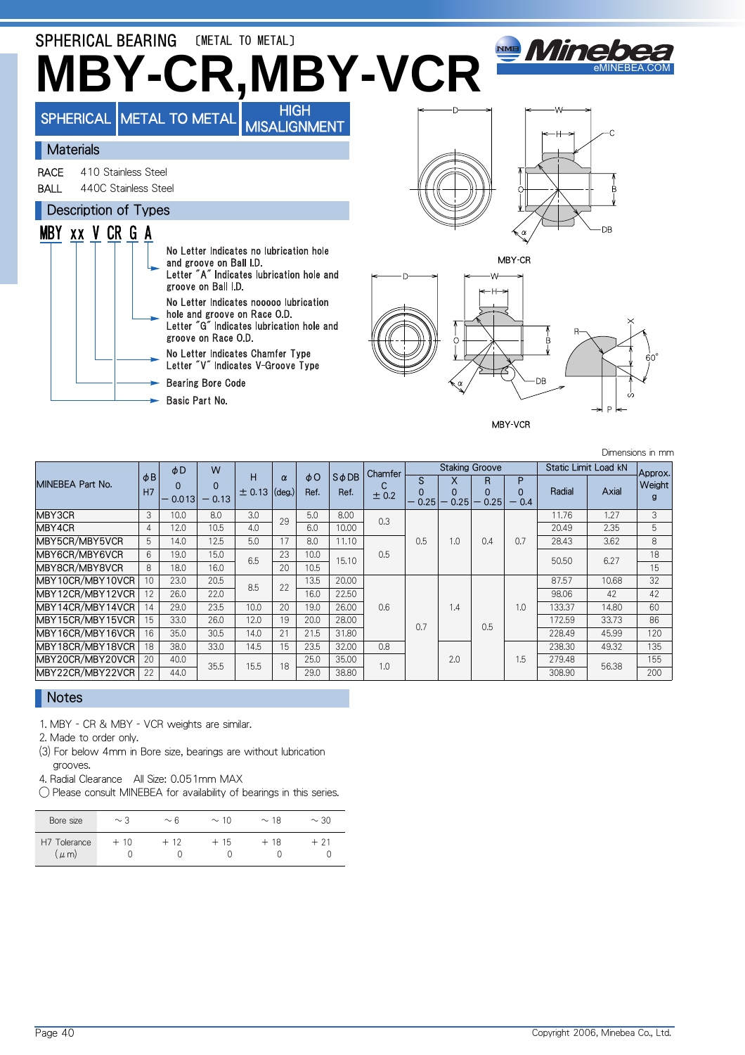

|                  |                           | $\phi$ D          | W                   |             |                    |                  |                       | Chamfer |              |                | <b>Staking Groove</b>                 |             | Static Limit Load kN |       | Approx.                |
|------------------|---------------------------|-------------------|---------------------|-------------|--------------------|------------------|-----------------------|---------|--------------|----------------|---------------------------------------|-------------|----------------------|-------|------------------------|
| MINEBEA Part No. | $\phi$ <sub>B</sub><br>H7 | $\Omega$<br>0.013 | $\Omega$<br>$-0.13$ | н<br>± 0.13 | $\alpha$<br>(deg.) | $\phi$ O<br>Ref. | $S$ $\phi$ DB<br>Ref. | ± 0.2   | S<br>$-0.25$ | X<br>0<br>0.25 | R<br>0.25<br>$\overline{\phantom{0}}$ | P<br>$-0.4$ | Radial               | Axial | Weight<br>$\mathbf{q}$ |
| MBY3CR           | 3                         | 10.0              | 8.0                 | 3.0         | 29                 | 5.0              | 8.00                  | 0.3     |              |                |                                       |             | 11.76                | 1.27  | 3                      |
| MBY4CR           | $\overline{4}$            | 12.0              | 10.5                | 4.0         |                    | 6.0              | 10.00                 |         |              |                |                                       |             | 20.49                | 2.35  | 5                      |
| MBY5CR/MBY5VCR   | 5                         | 14.0              | 12.5                | 5.0         | 17                 | 8.0              | 11.10                 |         | 0.5          | 1.0            | 0.4                                   | 0.7         | 28.43                | 3.62  | 8                      |
| MBY6CR/MBY6VCR   | 6                         | 19.0              | 15.0                | 6.5         | 23                 | 10.0             | 15.10                 | 0.5     |              |                |                                       |             | 50.50                | 6.27  | 18                     |
| MBY8CR/MBY8VCR   | $\mathsf{R}$              | 18.0              | 16.0                |             | 20                 | 10.5             |                       |         |              |                |                                       |             |                      |       | 15                     |
| MBY10CR/MBY10VCR | 10                        | 23.0              | 20.5                | 8.5         | 22                 | 13.5             | 20.00                 |         |              |                |                                       |             | 87.57                | 10.68 | 32                     |
| MBY12CR/MBY12VCR | 12                        | 26.0              | 22.0                |             |                    | 16.0             | 22.50                 |         |              |                |                                       |             | 98.06                | 42    | 42                     |
| MBY14CR/MBY14VCR | 14                        | 29.0              | 23.5                | 10.0        | 20                 | 19.0             | 26.00                 | 0.6     |              | 1.4            |                                       | 1.0         | 133.37               | 14.80 | 60                     |
| MBY15CR/MBY15VCR | 15                        | 33.0              | 26.0                | 12.0        | 19                 | 20.0             | 28.00                 |         | 0.7          |                | 0.5                                   |             | 172.59               | 33.73 | 86                     |
| MBY16CR/MBY16VCR | 16                        | 35.0              | 30.5                | 14.0        | 21                 | 21.5             | 31.80                 |         |              |                |                                       |             | 228.49               | 45.99 | 120                    |
| MBY18CR/MBY18VCR | 18                        | 38.0              | 33.0                | 14.5        | 15                 | 23.5             | 32.00                 | 0.8     |              |                |                                       |             | 238.30               | 49.32 | 135                    |
| MBY20CR/MBY20VCR | 20                        | 40.0              | 35.5                | 15.5        | 18                 | 25.0             | 35.00                 | 1.0     |              | 2.0            |                                       | 1.5         | 279.48               | 56.38 | 155                    |
| MBY22CR/MBY22VCR | 22                        | 44.0              |                     |             |                    | 29.0             | 38.80                 |         |              |                |                                       |             | 308.90               |       | 200                    |

### Notes

1. MBY - CR & MBY - VCR weights are similar.

2. Made to order only.

(3) For below 4mm in Bore size, bearings are without lubrication grooves.

4. Radial Clearance All Size: 0.051mm MAX

◯ Please consult MINEBEA for availability of bearings in this series.

| Bore size                            | $\sim$ 3 | $\sim$ 6 | $\sim$ 10 | $\sim$ 18 | $\sim$ 30 |
|--------------------------------------|----------|----------|-----------|-----------|-----------|
| H <sub>7</sub> Tolerance<br>$\mu$ m) | $+10$    | $+12$    | $+15$     | $+18$     | + 21      |

Dimensions in mm